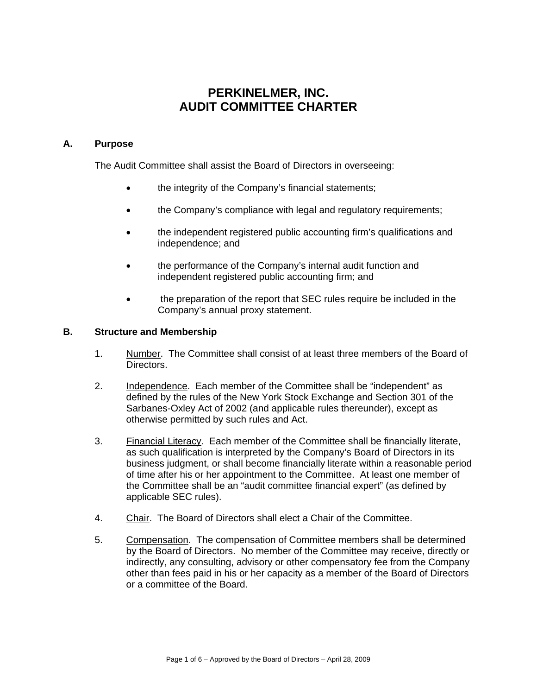# **PERKINELMER, INC. AUDIT COMMITTEE CHARTER**

### **A. Purpose**

The Audit Committee shall assist the Board of Directors in overseeing:

- the integrity of the Company's financial statements;
- the Company's compliance with legal and regulatory requirements;
- the independent registered public accounting firm's qualifications and independence; and
- the performance of the Company's internal audit function and independent registered public accounting firm; and
- the preparation of the report that SEC rules require be included in the Company's annual proxy statement.

#### **B. Structure and Membership**

- 1. Number. The Committee shall consist of at least three members of the Board of Directors.
- 2. Independence. Each member of the Committee shall be "independent" as defined by the rules of the New York Stock Exchange and Section 301 of the Sarbanes-Oxley Act of 2002 (and applicable rules thereunder), except as otherwise permitted by such rules and Act.
- 3. Financial Literacy. Each member of the Committee shall be financially literate, as such qualification is interpreted by the Company's Board of Directors in its business judgment, or shall become financially literate within a reasonable period of time after his or her appointment to the Committee. At least one member of the Committee shall be an "audit committee financial expert" (as defined by applicable SEC rules).
- 4. Chair. The Board of Directors shall elect a Chair of the Committee.
- 5. Compensation. The compensation of Committee members shall be determined by the Board of Directors. No member of the Committee may receive, directly or indirectly, any consulting, advisory or other compensatory fee from the Company other than fees paid in his or her capacity as a member of the Board of Directors or a committee of the Board.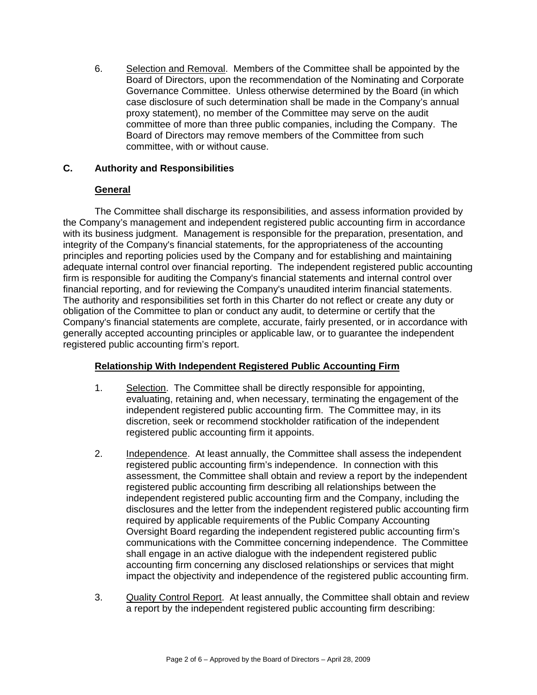6. Selection and Removal. Members of the Committee shall be appointed by the Board of Directors, upon the recommendation of the Nominating and Corporate Governance Committee. Unless otherwise determined by the Board (in which case disclosure of such determination shall be made in the Company's annual proxy statement), no member of the Committee may serve on the audit committee of more than three public companies, including the Company. The Board of Directors may remove members of the Committee from such committee, with or without cause.

### **C. Authority and Responsibilities**

## **General**

The Committee shall discharge its responsibilities, and assess information provided by the Company's management and independent registered public accounting firm in accordance with its business judgment. Management is responsible for the preparation, presentation, and integrity of the Company's financial statements, for the appropriateness of the accounting principles and reporting policies used by the Company and for establishing and maintaining adequate internal control over financial reporting. The independent registered public accounting firm is responsible for auditing the Company's financial statements and internal control over financial reporting, and for reviewing the Company's unaudited interim financial statements. The authority and responsibilities set forth in this Charter do not reflect or create any duty or obligation of the Committee to plan or conduct any audit, to determine or certify that the Company's financial statements are complete, accurate, fairly presented, or in accordance with generally accepted accounting principles or applicable law, or to guarantee the independent registered public accounting firm's report.

# **Relationship With Independent Registered Public Accounting Firm**

- 1. Selection. The Committee shall be directly responsible for appointing, evaluating, retaining and, when necessary, terminating the engagement of the independent registered public accounting firm. The Committee may, in its discretion, seek or recommend stockholder ratification of the independent registered public accounting firm it appoints.
- 2. Independence. At least annually, the Committee shall assess the independent registered public accounting firm's independence. In connection with this assessment, the Committee shall obtain and review a report by the independent registered public accounting firm describing all relationships between the independent registered public accounting firm and the Company, including the disclosures and the letter from the independent registered public accounting firm required by applicable requirements of the Public Company Accounting Oversight Board regarding the independent registered public accounting firm's communications with the Committee concerning independence. The Committee shall engage in an active dialogue with the independent registered public accounting firm concerning any disclosed relationships or services that might impact the objectivity and independence of the registered public accounting firm.
- 3. Quality Control Report. At least annually, the Committee shall obtain and review a report by the independent registered public accounting firm describing: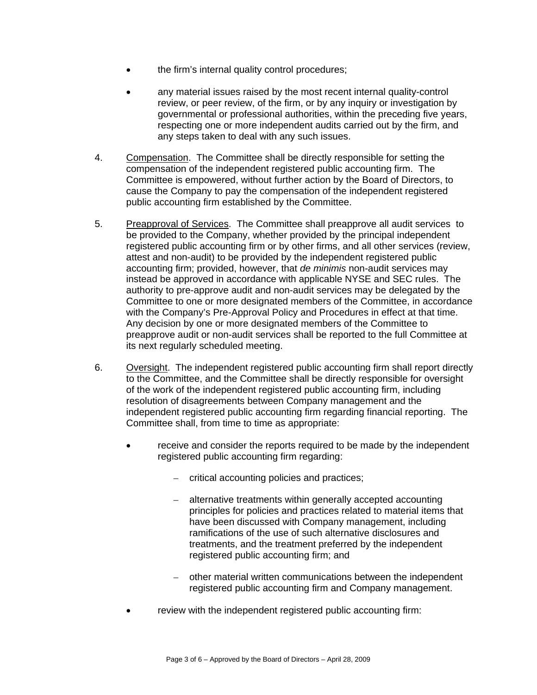- the firm's internal quality control procedures;
- any material issues raised by the most recent internal quality-control review, or peer review, of the firm, or by any inquiry or investigation by governmental or professional authorities, within the preceding five years, respecting one or more independent audits carried out by the firm, and any steps taken to deal with any such issues.
- 4. Compensation. The Committee shall be directly responsible for setting the compensation of the independent registered public accounting firm. The Committee is empowered, without further action by the Board of Directors, to cause the Company to pay the compensation of the independent registered public accounting firm established by the Committee.
- 5. Preapproval of Services. The Committee shall preapprove all audit services to be provided to the Company, whether provided by the principal independent registered public accounting firm or by other firms, and all other services (review, attest and non-audit) to be provided by the independent registered public accounting firm; provided, however, that *de minimis* non-audit services may instead be approved in accordance with applicable NYSE and SEC rules. The authority to pre-approve audit and non-audit services may be delegated by the Committee to one or more designated members of the Committee, in accordance with the Company's Pre-Approval Policy and Procedures in effect at that time. Any decision by one or more designated members of the Committee to preapprove audit or non-audit services shall be reported to the full Committee at its next regularly scheduled meeting.
- 6. Oversight. The independent registered public accounting firm shall report directly to the Committee, and the Committee shall be directly responsible for oversight of the work of the independent registered public accounting firm, including resolution of disagreements between Company management and the independent registered public accounting firm regarding financial reporting. The Committee shall, from time to time as appropriate:
	- receive and consider the reports required to be made by the independent registered public accounting firm regarding:
		- critical accounting policies and practices;
		- alternative treatments within generally accepted accounting principles for policies and practices related to material items that have been discussed with Company management, including ramifications of the use of such alternative disclosures and treatments, and the treatment preferred by the independent registered public accounting firm; and
		- other material written communications between the independent registered public accounting firm and Company management.
	- review with the independent registered public accounting firm: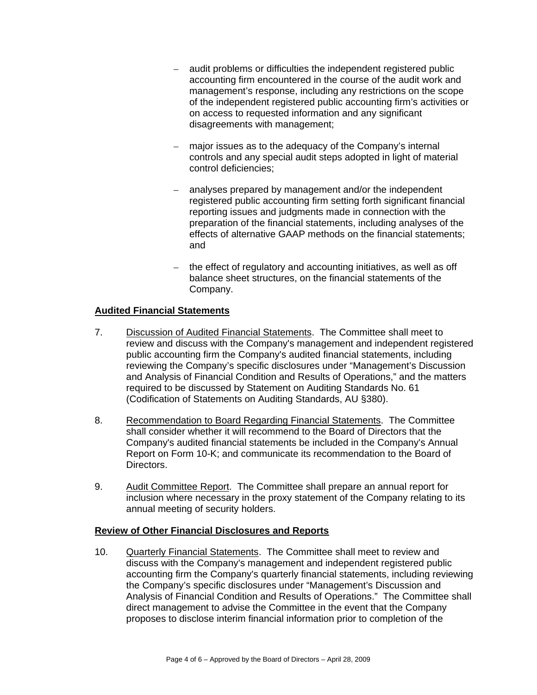- audit problems or difficulties the independent registered public accounting firm encountered in the course of the audit work and management's response, including any restrictions on the scope of the independent registered public accounting firm's activities or on access to requested information and any significant disagreements with management;
- major issues as to the adequacy of the Company's internal controls and any special audit steps adopted in light of material control deficiencies;
- analyses prepared by management and/or the independent registered public accounting firm setting forth significant financial reporting issues and judgments made in connection with the preparation of the financial statements, including analyses of the effects of alternative GAAP methods on the financial statements; and
- the effect of regulatory and accounting initiatives, as well as off balance sheet structures, on the financial statements of the Company.

## **Audited Financial Statements**

- 7. Discussion of Audited Financial Statements. The Committee shall meet to review and discuss with the Company's management and independent registered public accounting firm the Company's audited financial statements, including reviewing the Company's specific disclosures under "Management's Discussion and Analysis of Financial Condition and Results of Operations," and the matters required to be discussed by Statement on Auditing Standards No. 61 (Codification of Statements on Auditing Standards, AU §380).
- 8. Recommendation to Board Regarding Financial Statements. The Committee shall consider whether it will recommend to the Board of Directors that the Company's audited financial statements be included in the Company's Annual Report on Form 10-K; and communicate its recommendation to the Board of Directors.
- 9. Audit Committee Report. The Committee shall prepare an annual report for inclusion where necessary in the proxy statement of the Company relating to its annual meeting of security holders.

### **Review of Other Financial Disclosures and Reports**

10. Quarterly Financial Statements. The Committee shall meet to review and discuss with the Company's management and independent registered public accounting firm the Company's quarterly financial statements, including reviewing the Company's specific disclosures under "Management's Discussion and Analysis of Financial Condition and Results of Operations." The Committee shall direct management to advise the Committee in the event that the Company proposes to disclose interim financial information prior to completion of the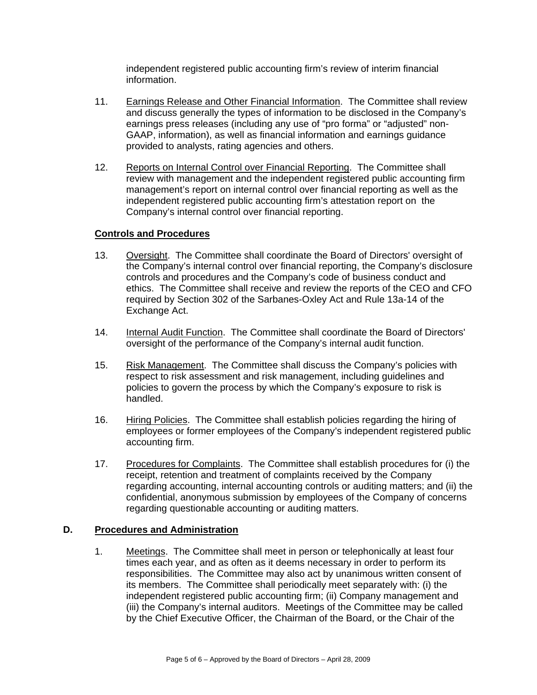independent registered public accounting firm's review of interim financial information.

- 11. Earnings Release and Other Financial Information. The Committee shall review and discuss generally the types of information to be disclosed in the Company's earnings press releases (including any use of "pro forma" or "adjusted" non-GAAP, information), as well as financial information and earnings guidance provided to analysts, rating agencies and others.
- 12. Reports on Internal Control over Financial Reporting. The Committee shall review with management and the independent registered public accounting firm management's report on internal control over financial reporting as well as the independent registered public accounting firm's attestation report on the Company's internal control over financial reporting.

#### **Controls and Procedures**

- 13. Oversight. The Committee shall coordinate the Board of Directors' oversight of the Company's internal control over financial reporting, the Company's disclosure controls and procedures and the Company's code of business conduct and ethics. The Committee shall receive and review the reports of the CEO and CFO required by Section 302 of the Sarbanes-Oxley Act and Rule 13a-14 of the Exchange Act.
- 14. Internal Audit Function. The Committee shall coordinate the Board of Directors' oversight of the performance of the Company's internal audit function.
- 15. Risk Management. The Committee shall discuss the Company's policies with respect to risk assessment and risk management, including guidelines and policies to govern the process by which the Company's exposure to risk is handled.
- 16. Hiring Policies. The Committee shall establish policies regarding the hiring of employees or former employees of the Company's independent registered public accounting firm.
- 17. Procedures for Complaints. The Committee shall establish procedures for (i) the receipt, retention and treatment of complaints received by the Company regarding accounting, internal accounting controls or auditing matters; and (ii) the confidential, anonymous submission by employees of the Company of concerns regarding questionable accounting or auditing matters.

#### **D. Procedures and Administration**

1. Meetings. The Committee shall meet in person or telephonically at least four times each year, and as often as it deems necessary in order to perform its responsibilities. The Committee may also act by unanimous written consent of its members. The Committee shall periodically meet separately with: (i) the independent registered public accounting firm; (ii) Company management and (iii) the Company's internal auditors. Meetings of the Committee may be called by the Chief Executive Officer, the Chairman of the Board, or the Chair of the